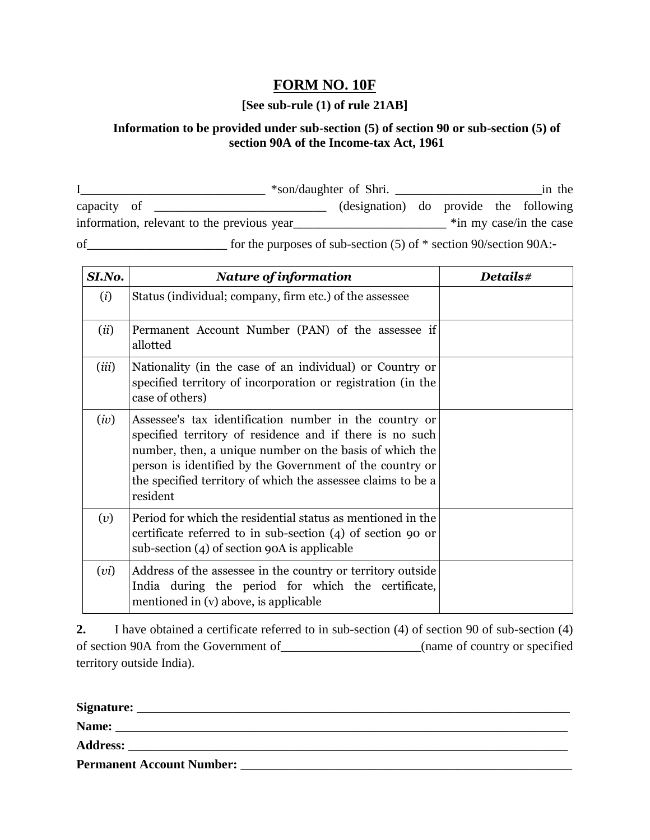## **FORM NO. 10F**

## **[See sub-rule (1) of rule 21AB]**

## **Information to be provided under sub-section (5) of section 90 or sub-section (5) of section 90A of the Income-tax Act, 1961**

|                                            |                                                                       | *son/daughter of Shri.                 |  | in the                  |
|--------------------------------------------|-----------------------------------------------------------------------|----------------------------------------|--|-------------------------|
| capacity of                                |                                                                       | (designation) do provide the following |  |                         |
| information, relevant to the previous year |                                                                       |                                        |  | *in my case/in the case |
| of                                         | for the purposes of sub-section $(5)$ of $*$ section 90/section 90A:- |                                        |  |                         |

| SI.No. | <b>Nature of information</b>                                                                                                                                                                                                                                                                                          | Details# |
|--------|-----------------------------------------------------------------------------------------------------------------------------------------------------------------------------------------------------------------------------------------------------------------------------------------------------------------------|----------|
| (i)    | Status (individual; company, firm etc.) of the assessee                                                                                                                                                                                                                                                               |          |
| (ii)   | Permanent Account Number (PAN) of the assessee if<br>allotted                                                                                                                                                                                                                                                         |          |
| (iii)  | Nationality (in the case of an individual) or Country or<br>specified territory of incorporation or registration (in the<br>case of others)                                                                                                                                                                           |          |
| (iv)   | Assessee's tax identification number in the country or<br>specified territory of residence and if there is no such<br>number, then, a unique number on the basis of which the<br>person is identified by the Government of the country or<br>the specified territory of which the assessee claims to be a<br>resident |          |
| (v)    | Period for which the residential status as mentioned in the<br>certificate referred to in sub-section (4) of section 90 or<br>sub-section (4) of section 90A is applicable                                                                                                                                            |          |
| (vi)   | Address of the assessee in the country or territory outside<br>India during the period for which the certificate,<br>mentioned in (v) above, is applicable                                                                                                                                                            |          |

**2.** I have obtained a certificate referred to in sub-section (4) of section 90 of sub-section (4) of section 90A from the Government of\_\_\_\_\_\_\_\_\_\_\_\_\_\_\_\_\_\_\_\_\_\_(name of country or specified territory outside India).

| Signature:                       |  |
|----------------------------------|--|
| Name:                            |  |
| <b>Address:</b>                  |  |
| <b>Permanent Account Number:</b> |  |